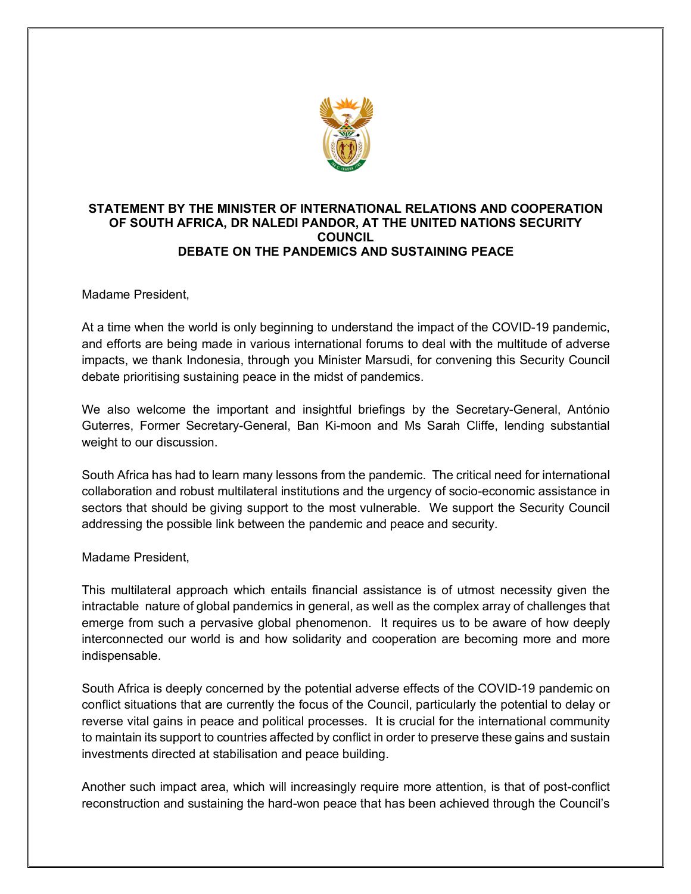

## **STATEMENT BY THE MINISTER OF INTERNATIONAL RELATIONS AND COOPERATION OF SOUTH AFRICA, DR NALEDI PANDOR, AT THE UNITED NATIONS SECURITY COUNCIL DEBATE ON THE PANDEMICS AND SUSTAINING PEACE**

Madame President,

At a time when the world is only beginning to understand the impact of the COVID-19 pandemic, and efforts are being made in various international forums to deal with the multitude of adverse impacts, we thank Indonesia, through you Minister Marsudi, for convening this Security Council debate prioritising sustaining peace in the midst of pandemics.

We also welcome the important and insightful briefings by the Secretary-General, António Guterres, Former Secretary-General, Ban Ki-moon and Ms Sarah Cliffe, lending substantial weight to our discussion.

South Africa has had to learn many lessons from the pandemic. The critical need for international collaboration and robust multilateral institutions and the urgency of socio-economic assistance in sectors that should be giving support to the most vulnerable. We support the Security Council addressing the possible link between the pandemic and peace and security.

## Madame President,

This multilateral approach which entails financial assistance is of utmost necessity given the intractable nature of global pandemics in general, as well as the complex array of challenges that emerge from such a pervasive global phenomenon. It requires us to be aware of how deeply interconnected our world is and how solidarity and cooperation are becoming more and more indispensable.

South Africa is deeply concerned by the potential adverse effects of the COVID-19 pandemic on conflict situations that are currently the focus of the Council, particularly the potential to delay or reverse vital gains in peace and political processes. It is crucial for the international community to maintain its support to countries affected by conflict in order to preserve these gains and sustain investments directed at stabilisation and peace building.

Another such impact area, which will increasingly require more attention, is that of post-conflict reconstruction and sustaining the hard-won peace that has been achieved through the Council's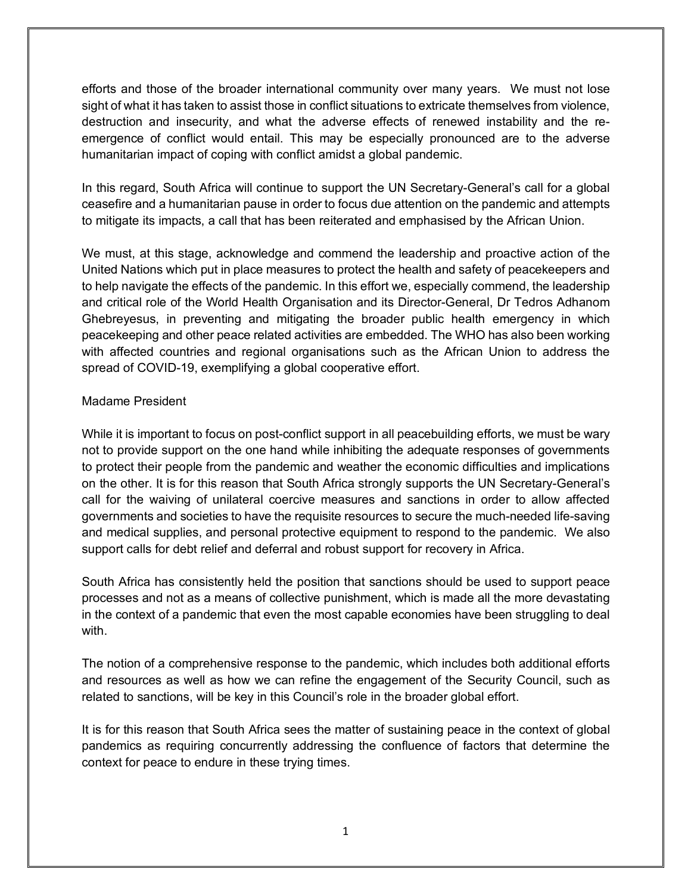efforts and those of the broader international community over many years. We must not lose sight of what it has taken to assist those in conflict situations to extricate themselves from violence, destruction and insecurity, and what the adverse effects of renewed instability and the reemergence of conflict would entail. This may be especially pronounced are to the adverse humanitarian impact of coping with conflict amidst a global pandemic.

In this regard, South Africa will continue to support the UN Secretary-General's call for a global ceasefire and a humanitarian pause in order to focus due attention on the pandemic and attempts to mitigate its impacts, a call that has been reiterated and emphasised by the African Union.

We must, at this stage, acknowledge and commend the leadership and proactive action of the United Nations which put in place measures to protect the health and safety of peacekeepers and to help navigate the effects of the pandemic. In this effort we, especially commend, the leadership and critical role of the World Health Organisation and its Director-General, Dr Tedros Adhanom Ghebreyesus, in preventing and mitigating the broader public health emergency in which peacekeeping and other peace related activities are embedded. The WHO has also been working with affected countries and regional organisations such as the African Union to address the spread of COVID-19, exemplifying a global cooperative effort.

## Madame President

While it is important to focus on post-conflict support in all peacebuilding efforts, we must be wary not to provide support on the one hand while inhibiting the adequate responses of governments to protect their people from the pandemic and weather the economic difficulties and implications on the other. It is for this reason that South Africa strongly supports the UN Secretary-General's call for the waiving of unilateral coercive measures and sanctions in order to allow affected governments and societies to have the requisite resources to secure the much-needed life-saving and medical supplies, and personal protective equipment to respond to the pandemic. We also support calls for debt relief and deferral and robust support for recovery in Africa.

South Africa has consistently held the position that sanctions should be used to support peace processes and not as a means of collective punishment, which is made all the more devastating in the context of a pandemic that even the most capable economies have been struggling to deal with.

The notion of a comprehensive response to the pandemic, which includes both additional efforts and resources as well as how we can refine the engagement of the Security Council, such as related to sanctions, will be key in this Council's role in the broader global effort.

It is for this reason that South Africa sees the matter of sustaining peace in the context of global pandemics as requiring concurrently addressing the confluence of factors that determine the context for peace to endure in these trying times.